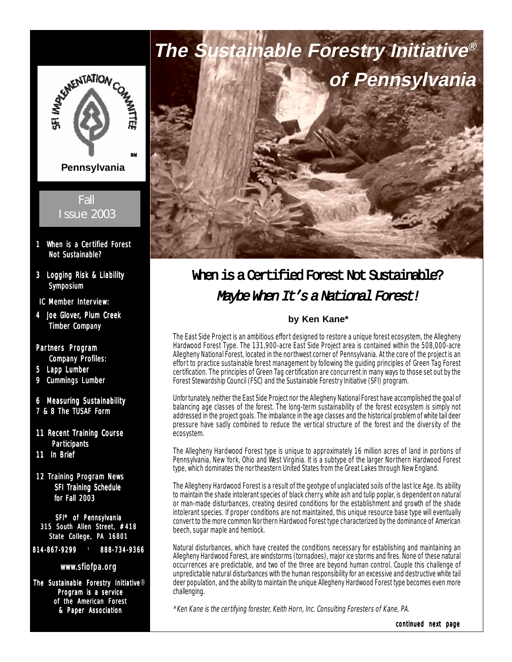

- 1 When is a Certified Forest Not Sustainable?
- 3 Logging Risk & Liability Symposium
- IC Member Interview:
- 4 Joe Glover, Plum Creek Timber Company

#### Partners Program **Company Profiles:**

- 5 Lapp Lumber
- 9 Cummings Lumber
- 6 Measuring Sustainability
- 7 & 8 The TUSAF Form
- 11 Recent Training Course **Participants**
- 11 In Brief
- 12 Training Program News SFI Training Schedule for Fall 2003

SFI® of Pennsylvania 315 South Allen Street, #418 State College, PA 16801

814-867-9299 | 888-734-9366

#### www.sfiofpa.org

The Sustainable Forestry Initiative® Program is a service of the American Forest & Paper Association



# When is a Certified Forest Not Sustainable? Maybe When It's a National Forest!

#### **by Ken Kane\***

The East Side Project is an ambitious effort designed to restore a unique forest ecosystem, the Allegheny Hardwood Forest Type. The 131,900-acre East Side Project area is contained within the 508,000-acre Allegheny National Forest, located in the nor thwest corner of Pennsylvania. At the core of the project is an effort to practice sustainable forest management by following the guiding principles of Green Tag Forest certification. The principles of Green Tag certification are concurrent in many ways to those set out by the Forest Stewardship Council (FSC) and the Sustainable Forestry Initiative (SFI) program.

Unfortunately, neither the East Side Project nor the Allegheny National Forest have accomplished the goal of balancing age classes of the forest. The long-term sustainability of the forest ecosystem is simply not addressed in the project goals. The imbalance in the age classes and the historical problem of white tail deer pressure have sadly combined to reduce the vertical structure of the forest and the diversity of the ecosystem.

The Allegheny Hardwood Forest type is unique to approximately 16 million acres of land in portions of Pennsylvania, New York, Ohio and West Virginia. It is a subtype of the larger Northern Hardwood Forest type, which dominates the northeastern United States from the Great Lakes through New England.

The Allegheny Hardwood Forest is a result of the geotype of unglaciated soils of the last Ice Age. Its ability to maintain the shade intolerant species of black cherry, white ash and tulip poplar, is dependent on natural or man-made disturbances, creating desired conditions for the establishment and growth of the shade intolerant species. If proper conditions are not maintained, this unique resource base type will eventually convert to the more common Northern Hardwood Forest type characterized by the dominance of American beech, sugar maple and hemlock.

Natural disturbances, which have created the conditions necessary for establishing and maintaining an Allegheny Hardwood Forest, are windstorms (tornadoes), major ice storms and fires. None of these natural occurrences are predictable, and two of the three are beyond human control. Couple this challenge of unpredictable natural disturbances with the human responsibility for an excessive and destructive white tail deer population, and the ability to maintain the unique Allegheny Hardwood Forest type becomes even more challenging.

\*Ken Kane is the certifying forester, Keith Horn, Inc. Consulting Foresters of Kane, PA.

continued next page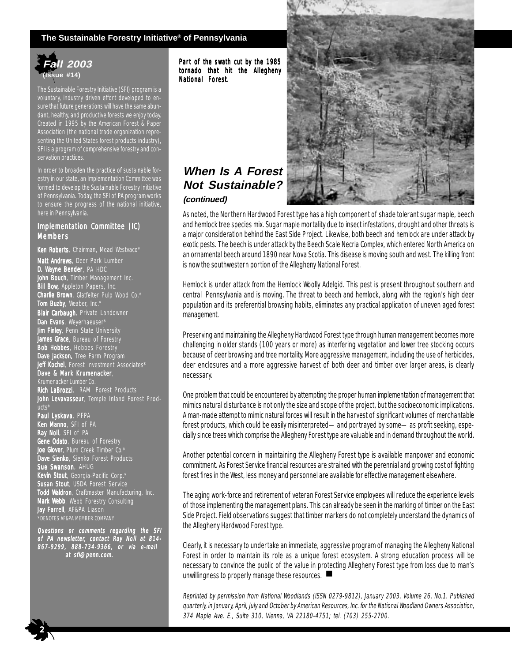#### **The Sustainable Forestry Initiative® of Pennsylvania**



The Sustainable Forestry Initiative (SFI) program is a voluntary, industry driven effort developed to ensure that future generations will have the same abundant, healthy, and productive forests we enjoy today. Created in 1995 by the American Forest & Paper Association (the national trade organization representing the United States forest products industry), SFI is a program of comprehensive forestry and conservation practices.

In order to broaden the practice of sustainable forestry in our state, an Implementation Committee was formed to develop the Sustainable Forestry Initiative of Pennsylvania. Today, the SFI of PA program works to ensure the progress of the national initiative, here in Pennsylvania.

#### Implementation Committee (IC) Members

Ken Roberts, Chairman, Mead Westvaco\* Matt Andrews, Deer Park Lumber **D. Wayne Bender**, PA HDC John Bouch, Timber Management Inc. **Bill Bow, Appleton Papers, Inc. Charlie Brown**, Glatfelter Pulp Wood Co. $^{\star}$ **Tom Buzby**, Weaber, Inc.\* Blair Carbaugh, Private Landowner Dan Evans, Weyerhaeuser\* **Jim Finley**, Penn State University **James Grace**, Bureau of Forestry Bob Hobbes, Hobbes Forestry Dave Jackson, Tree Farm Program Jeff Kochel, Forest Investment Associates\* Dave & Mark Krumenacker, Krumenacker Lumber Co. Rich LaBrozzi, RAM Forest Products John Levavasseur, Temple Inland Forest Products\* Paul Lyskava, PFPA Ken Manno, SFI of PA **Ray Noll**, SFI of PA ene Odato, Bureau of Forestry **Joe Glover**, Plum Creek Timber Co.\* **Dave Sienko**, Sienko Forest Products **Sue Swanson**, AHUG Kevin Stout, Georgia-Pacific Corp.\* **Susan Stout**, USDA Forest Service Todd Waldron, Craftmaster Manufacturing, Inc. Mark Webb, Webb Forestry Consulting Jay Farrell, AF&PA Liason \*DENOTES AF&PA MEMBER COMPANY

Questions or comments regarding the SFI of PA newsletter, contact Ray Noll at 814- 867-9299, 888-734-9366, or via e-mail at sfi@penn.com. at sfi@penn.com.

 $\frac{1}{2}$ 

Part of the swath cut by the 1985 tornado that hit the Allegheny National Forest.



#### **When Is A Forest Not Sustainable? (continued)**

As noted, the Northern Hardwood Forest type has a high component of shade tolerant sugar maple, beech and hemlock tree species mix. Sugar maple mortality due to insect infestations, drought and other threats is a major consideration behind the East Side Project. Likewise, both beech and hemlock are under attack by exotic pests. The beech is under attack by the Beech Scale Necria Complex, which entered North America on an ornamental beech around 1890 near Nova Scotia. This disease is moving south and west. The killing front is now the southwestern portion of the Allegheny National Forest.

Hemlock is under attack from the Hemlock Woolly Adelgid. This pest is present throughout southern and central Pennsylvania and is moving. The threat to beech and hemlock, along with the region's high deer population and its preferential browsing habits, eliminates any practical application of uneven aged forest management.

Preserving and maintaining the Allegheny Hardwood Forest type through human management becomes more challenging in older stands (100 years or more) as interfering vegetation and lower tree stocking occurs because of deer browsing and tree mortality. More aggressive management, including the use of herbicides, deer enclosures and a more aggressive harvest of both deer and timber over larger areas, is clearly necessary.

One problem that could be encountered by attempting the proper human implementation of management that mimics natural disturbance is not only the size and scope of the project, but the socioeconomic implications. A man-made attempt to mimic natural forces will result in the harvest of significant volumes of merchantable forest products, which could be easily misinterpreted—and portrayed by some—as profit seeking, especially since trees which comprise the Allegheny Forest type are valuable and in demand throughout the world.

Another potential concern in maintaining the Allegheny Forest type is available manpower and economic commitment. As Forest Service financial resources are strained with the perennial and growing cost of fighting forest fires in the West, less money and personnel are available for effective management elsewhere.

The aging work-force and retirement of veteran Forest Service employees will reduce the experience levels of those implementing the management plans. This can already be seen in the marking of timber on the East Side Project. Field observations suggest that timber markers do not completely understand the dynamics of the Allegheny Hardwood Forest type.

Clearly, it is necessary to undertake an immediate, aggressive program of managing the Allegheny National Forest in order to maintain its role as a unique forest ecosystem. A strong education process will be necessary to convince the public of the value in protecting Allegheny Forest type from loss due to man's unwillingness to properly manage these resources. ■

Reprinted by permission from National Woodlands (ISSN 0279-9812), January 2003, Volume 26, No.1. Published quarterly, in January, April, July and October by American Resources, Inc. for the National Woodland Owners Association, 374 Maple Ave. E., Suite 310, Vienna, VA 22180-4751; tel. (703) 255-2700.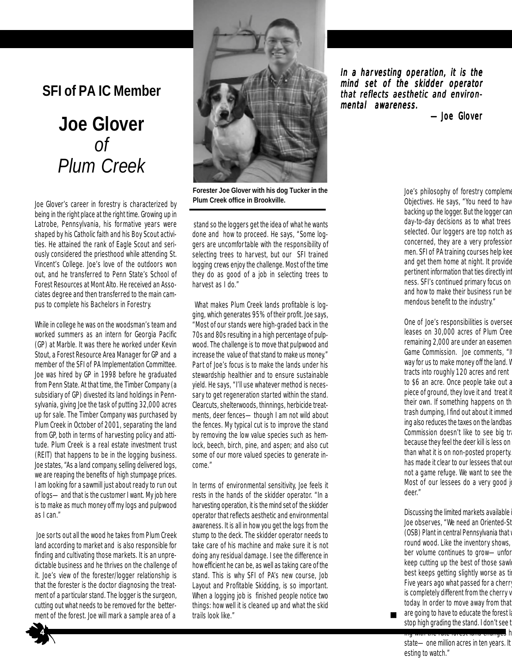# **SFI of PA IC Member**

# **Joe Glover** *of Plum Creek*

Joe Glover's career in forestry is characterized by being in the right place at the right time. Growing up in Latrobe, Pennsylvania, his formative years were shaped by his Catholic faith and his Boy Scout activities. He attained the rank of Eagle Scout and seriously considered the priesthood while attending St. Vincent's College. Joe's love of the outdoors won out, and he transferred to Penn State's School of Forest Resources at Mont Alto. He received an Associates degree and then transferred to the main campus to complete his Bachelors in Forestry.

While in college he was on the woodsman's team and worked summers as an intern for Georgia Pacific (GP) at Marble. It was there he worked under Kevin Stout, a Forest Resource Area Manager for GP and a member of the SFI of PA Implementation Committee. Joe was hired by GP in 1998 before he graduated from Penn State. At that time, the Timber Company (a subsidiary of GP) divested its land holdings in Pennsylvania, giving Joe the task of putting 32,000 acres up for sale. The Timber Company was purchased by Plum Creek in October of 2001, separating the land from GP, both in terms of harvesting policy and attitude. Plum Creek is a real estate investment trust (REIT) that happens to be in the logging business. Joe states, "As a land company, selling delivered logs, we are reaping the benefits of high stumpage prices. I am looking for a sawmill just about ready to run out of logs—and that is the customer I want. My job here is to make as much money off my logs and pulpwood as I can."

 Joe sorts out all the wood he takes from Plum Creek land according to market and is also responsible for finding and cultivating those markets. It is an unpredictable business and he thrives on the challenge of it. Joe's view of the forester/logger relationship is that the forester is the doctor diagnosing the treatment of a particular stand. The logger is the surgeon, cutting out what needs to be removed for the betterment of the forest. Joe will mark a sample area of a



**Forester Joe Glover with his dog Tucker in the Plum Creek office in Brookville.**

 stand so the loggers get the idea of what he wants done and how to proceed. He says, "Some loggers are uncomfortable with the responsibility of selecting trees to harvest, but our SFI trained logging crews enjoy the challenge. Most of the time they do as good of a job in selecting trees to harvest as I do."

 What makes Plum Creek lands profitable is logging, which generates 95% of their profit. Joe says, "Most of our stands were high-graded back in the 70s and 80s resulting in a high percentage of pulpwood. The challenge is to move that pulpwood and increase the value of that stand to make us money." Part of Joe's focus is to make the lands under his stewardship healthier and to ensure sustainable yield. He says, "I'll use whatever method is necessary to get regeneration started within the stand. Clearcuts, shelterwoods, thinnings, herbicide treatments, deer fences—though I am not wild about the fences. My typical cut is to improve the stand by removing the low value species such as hemlock, beech, birch, pine, and aspen; and also cut some of our more valued species to generate income."

In terms of environmental sensitivity, Joe feels it rests in the hands of the skidder operator. "In a harvesting operation, it is the mind set of the skidder operator that reflects aesthetic and environmental awareness. It is all in how you get the logs from the stump to the deck. The skidder operator needs to take care of his machine and make sure it is not doing any residual damage. I see the difference in how efficient he can be, as well as taking care of the stand. This is why SFI of PA's new course, Job Layout and Profitable Skidding, is so important. When a logging job is finished people notice two things: how well it is cleaned up and what the skid trails look like."

In a harvesting operation, it is the mind set of the skidder operator that reflects aesthetic and environmental awareness.

—Joe Glover —Joe Glover

Joe's philosophy of forestry complement Objectives. He says, "You need to hav backing up the logger. But the logger can day-to-day decisions as to what trees selected. Our loggers are top notch as concerned, they are a very profession men. SFI of PA training courses help kee and get them home at night. It provide pertinent information that ties directly in ness. SFI's continued primary focus on and how to make their business run be mendous benefit to the industry."

One of Joe's responsibilities is oversee leases on 30,000 acres of Plum Cree remaining 2,000 are under an easemen Game Commission. Joe comments, "It way for us to make money off the land. V tracts into roughly 120 acres and rent to \$6 an acre. Once people take out a piece of ground, they love it and treat it their own. If something happens on th trash dumping, I find out about it immed ing also reduces the taxes on the landbas Commission doesn't like to see big tr because they feel the deer kill is less on than what it is on non-posted property. has made it clear to our lessees that our not a game refuge. We want to see the Most of our lessees do a very good j deer."

Discussing the limited markets available i Joe observes, "We need an Oriented-St (OSB) Plant in central Pennsylvania that round wood. Like the inventory shows, ber volume continues to grow—unfor keep cutting up the best of those sawl best keeps getting slightly worse as ti Five years ago what passed for a cherr is completely different from the cherry v today. In order to move away from that are going to have to educate the forest I stop high grading the stand. I don't see t

4

ing with the rate forest land changes h state—one million acres in ten years. It esting to watch."

**.**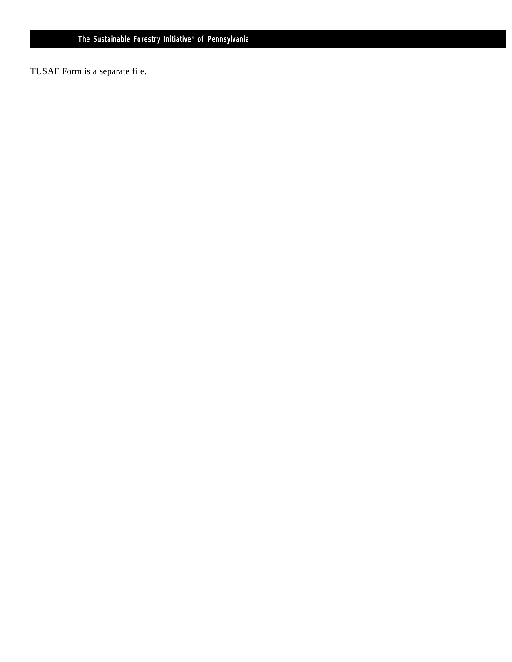TUSAF Form is a separate file.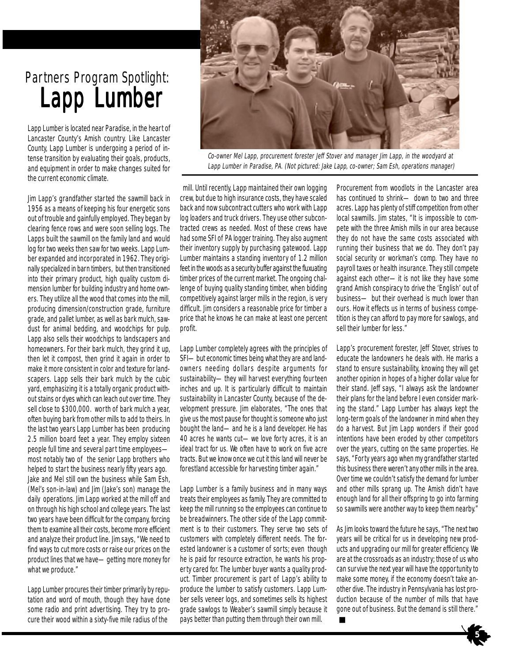# Partners Program Spotlight: Lapp Lumber

Lapp Lumber is located near Paradise, in the heart of Lancaster County's Amish country. Like Lancaster County, Lapp Lumber is undergoing a period of intense transition by evaluating their goals, products, and equipment in order to make changes suited for the current economic climate.

Jim Lapp's grandfather started the sawmill back in 1956 as a means of keeping his four energetic sons out of trouble and gainfully employed. They began by clearing fence rows and were soon selling logs. The Lapps built the sawmill on the family land and would log for two weeks then saw for two weeks. Lapp Lumber expanded and incorporated in 1962. They originally specialized in barn timbers, but then transitioned into their primary product, high quality custom dimension lumber for building industry and home owners. They utilize all the wood that comes into the mill, producing dimension/construction grade, furniture grade, and pallet lumber, as well as bark mulch, sawdust for animal bedding, and woodchips for pulp. Lapp also sells their woodchips to landscapers and homeowners. For their bark mulch, they grind it up, then let it compost, then grind it again in order to make it more consistent in color and texture for landscapers. Lapp sells their bark mulch by the cubic yard, emphasizing it is a totally organic product without stains or dyes which can leach out over time. They sell close to \$300,000. worth of bark mulch a year, often buying bark from other mills to add to theirs. In the last two years Lapp Lumber has been producing 2.5 million board feet a year. They employ sixteen people full time and several part time employees most notably two of the senior Lapp brothers who helped to start the business nearly fifty years ago. Jake and Mel still own the business while Sam Esh, (Mel's son-in-law) and Jim (Jake's son) manage the daily operations. Jim Lapp worked at the mill off and on through his high school and college years. The last two years have been difficult for the company, forcing them to examine all their costs, become more efficient and analyze their product line. Jim says, "We need to find ways to cut more costs or raise our prices on the product lines that we have—getting more money for what we produce."

Lapp Lumber procures their timber primarily by reputation and word of mouth, though they have done some radio and print advertising. They try to procure their wood within a sixty-five mile radius of the



Co-owner Mel Lapp, procurement forester Jeff Stover and manager Jim Lapp, in the woodyard at Lapp Lumber in Paradise, PA. (Not pictured: Jake Lapp, co-owner; Sam Esh, operations manager)

 mill. Until recently, Lapp maintained their own logging crew, but due to high insurance costs, they have scaled back and now subcontract cutters who work with Lapp log loaders and truck drivers. They use other subcontracted crews as needed. Most of these crews have had some SFI of PA logger training. They also augment their inventory supply by purchasing gatewood. Lapp Lumber maintains a standing inventory of 1.2 million feet in the woods as a security buffer against the fluxuating timber prices of the current market. The ongoing challenge of buying quality standing timber, when bidding competitively against larger mills in the region, is very difficult. Jim considers a reasonable price for timber a price that he knows he can make at least one percent profit.

Lapp Lumber completely agrees with the principles of SFI—but economic times being what they are and landowners needing dollars despite arguments for sustainability—they will harvest everything fourteen inches and up. It is particularly difficult to maintain sustainability in Lancaster County, because of the development pressure. Jim elaborates, "The ones that give us the most pause for thought is someone who just bought the land—and he is a land developer. He has 40 acres he wants cut—we love forty acres, it is an ideal tract for us. We often have to work on five acre tracts. But we know once we cut it this land will never be forestland accessible for harvesting timber again."

Lapp Lumber is a family business and in many ways treats their employees as family. They are committed to keep the mill running so the employees can continue to be breadwinners. The other side of the Lapp commitment is to their customers. They serve two sets of customers with completely different needs. The forested landowner is a customer of sorts; even though he is paid for resource extraction, he wants his property cared for. The lumber buyer wants a quality product. Timber procurement is part of Lapp's ability to produce the lumber to satisfy customers. Lapp Lumber sells veneer logs, and sometimes sells its highest grade sawlogs to Weaber's sawmill simply because it pays better than putting them through their own mill.

Procurement from woodlots in the Lancaster area has continued to shrink— down to two and three acres. Lapp has plenty of stiff competition from other local sawmills. Jim states, "It is impossible to compete with the three Amish mills in our area because they do not have the same costs associated with running their business that we do. They don't pay social security or workman's comp. They have no payroll taxes or health insurance. They still compete against each other—it is not like they have some grand Amish conspiracy to drive the 'English' out of business— but their overhead is much lower than ours. How it effects us in terms of business competition is they can afford to pay more for sawlogs, and sell their lumber for less."

Lapp's procurement forester, Jeff Stover, strives to educate the landowners he deals with. He marks a stand to ensure sustainability, knowing they will get another opinion in hopes of a higher dollar value for their stand. Jeff says, "I always ask the landowner their plans for the land before I even consider marking the stand." Lapp Lumber has always kept the long-term goals of the landowner in mind when they do a harvest. But Jim Lapp wonders if their good intentions have been eroded by other competitors over the years, cutting on the same properties. He says, "Forty years ago when my grandfather started this business there weren't any other mills in the area. Over time we couldn't satisfy the demand for lumber and other mills sprang up. The Amish didn't have enough land for all their offspring to go into farming so sawmills were another way to keep them nearby."

As Jim looks toward the future he says, "The next two years will be critical for us in developing new products and upgrading our mill for greater efficiency. We are at the crossroads as an industry; those of us who can survive the next year will have the opportunity to make some money, if the economy doesn't take another dive. The industry in Pennsylvania has lost production because of the number of mills that have gone out of business. But the demand is still there." **.** 

 $\rightarrow$  5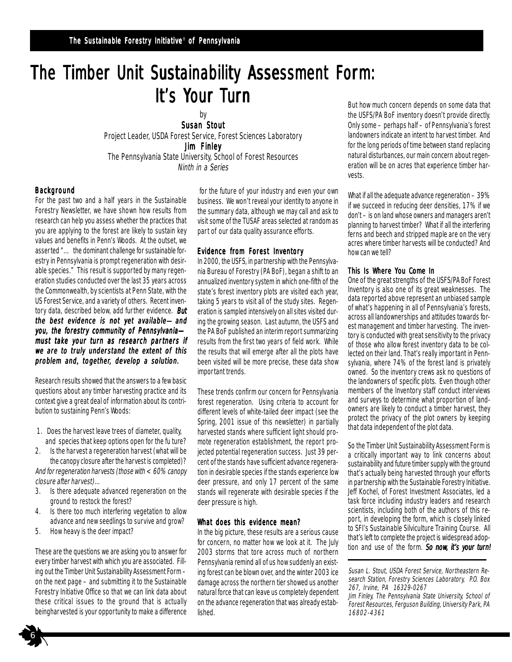# The Timber Unit Sustainability Assessment Form: It's Your Turn

by Susan Stout

Project Leader, USDA Forest Service, Forest Sciences Laboratory Jim Finley The Pennsylvania State University, School of Forest Resources Ninth in a Series

#### Background

For the past two and a half years in the Sustainable Forestry Newsletter, we have shown how results from research can help you assess whether the practices that you are applying to the forest are likely to sustain key values and benefits in Penn's Woods. At the outset, we asserted "… the dominant challenge for sustainable forestry in Pennsylvania is prompt regeneration with desirable species." This result is supported by many regeneration studies conducted over the last 35 years across the Commonwealth, by scientists at Penn State, with the US Forest Service, and a variety of others. Recent inventory data, described below, add further evidence. But the best evidence is not yet available—and you, the forestry community of Pennsylvaniamust take your turn as research partners if we are to truly understand the extent of this problem and, together, develop a solution.

Research results showed that the answers to a few basic questions about any timber harvesting practice and its context give a great deal of information about its contribution to sustaining Penn's Woods:

- 1. Does the harvest leave trees of diameter, quality, and species that keep options open for the fu ture?
- 2. Is the harvest a regeneration harvest (what will be the canopy closure after the harvest is completed)? And for regeneration harvests (those with < 60% canopy closure after harvest)…
- 3. Is there adequate advanced regeneration on the ground to restock the forest?
- 4. Is there too much interfering vegetation to allow advance and new seedlings to survive and grow?
- 5. How heavy is the deer impact?

6

These are the questions we are asking you to answer for every timber harvest with which you are associated. Filling out the Timber Unit Sustainability Assessment Form – on the next page – and submitting it to the Sustainable Forestry Initiative Office so that we can link data about these critical issues to the ground that is actually beingharvested is your opportunity to make a difference

 for the future of your industry and even your own business. We won't reveal your identity to anyone in the summary data, although we may call and ask to visit some of the TUSAF areas selected at random as part of our data quality assurance efforts.

#### Evidence from Forest Inventory

In 2000, the USFS, in partnership with the Pennsylvania Bureau of Forestry (PA BoF), began a shift to an annualized inventory system in which one-fifth of the state's forest inventory plots are visited each year, taking 5 years to visit all of the study sites. Regeneration is sampled intensively on all sites visited during the growing season. Last autumn, the USFS and the PA BoF published an interim report summarizing results from the first two years of field work. While the results that will emerge after all the plots have been visited will be more precise, these data show important trends.

These trends confirm our concern for Pennsylvania forest regeneration. Using criteria to account for different levels of white-tailed deer impact (see the Spring, 2001 issue of this newsletter) in partially harvested stands where sufficient light should promote regeneration establishment, the report projected potential regeneration success. Just 39 percent of the stands have sufficient advance regeneration in desirable species if the stands experience low deer pressure, and only 17 percent of the same stands will regenerate with desirable species if the deer pressure is high.

#### What does this evidence mean?

In the big picture, these results are a serious cause for concern, no matter how we look at it. The July 2003 storms that tore across much of northern Pennsylvania remind all of us how suddenly an existing forest can be blown over, and the winter 2003 ice damage across the northern tier showed us another natural force that can leave us completely dependent on the advance regeneration that was already established.

But how much concern depends on some data that the USFS/PA BoF inventory doesn't provide directly. Only some – perhaps half – of Pennsylvania's forest landowners indicate an intent to harvest timber. And for the long periods of time between stand replacing natural disturbances, our main concern about regeneration will be on acres that experience timber harvests.

What if all the adequate advance regeneration – 39% if we succeed in reducing deer densities, 17% if we don't – is on land whose owners and managers aren't planning to harvest timber? What if all the interfering ferns and beech and stripped maple are on the very acres where timber harvests will be conducted? And how can we tell?

#### This Is Where You Come In

One of the great strengths of the USFS/PA BoF Forest Inventory is also one of its great weaknesses. The data reported above represent an unbiased sample of what's happening in all of Pennsylvania's forests, across all landownerships and attitudes towards forest management and timber harvesting. The inventory is conducted with great sensitivity to the privacy of those who allow forest inventory data to be collected on their land. That's really important in Pennsylvania, where 74% of the forest land is privately owned. So the inventory crews ask no questions of the landowners of specific plots. Even though other members of the Inventory staff conduct interviews and surveys to determine what proportion of landowners are likely to conduct a timber harvest, they protect the privacy of the plot owners by keeping that data independent of the plot data.

So the Timber Unit Sustainability Assessment Form is a critically important way to link concerns about sustainability and future timber supply with the ground that's actually being harvested through your efforts in partnership with the Sustainable Forestry Initiative. Jeff Kochel, of Forest Investment Associates, led a task force including industry leaders and research scientists, including both of the authors of this report, in developing the form, which is closely linked to SFI's Sustainable Silviculture Training Course. All that's left to complete the project is widespread adoption and use of the form. So now, it's your turn!

Susan L. Stout, USDA Forest Service, Northeastern Research Station, Forestry Sciences Laboratory, P.O. Box 267, Irvine, PA 16329-0267

Jim Finley, The Pennsylvania State University, School of Forest Resources, Ferguson Building, University Park, PA 16802-4361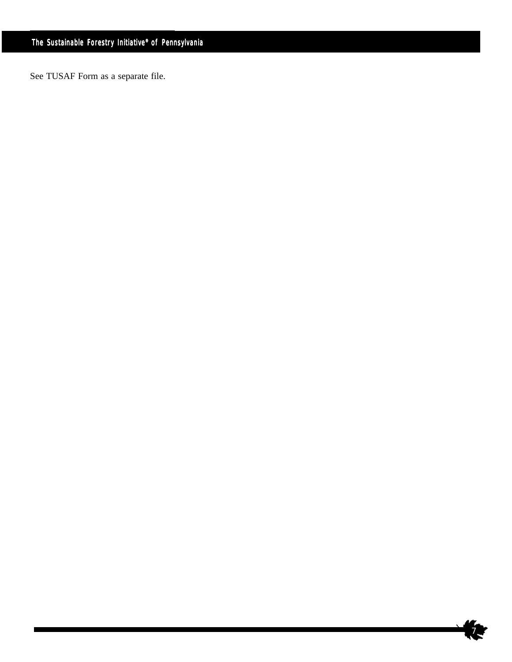See TUSAF Form as a separate file.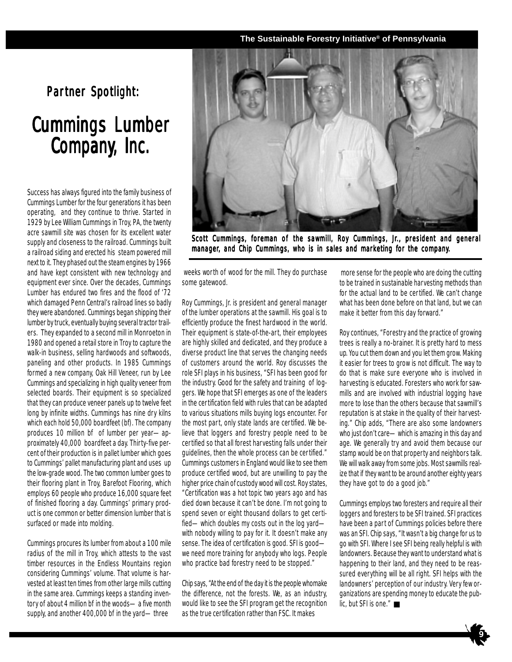#### **The Sustainable Forestry Initiative® of Pennsylvania**

## Partner Spotlight:

# **Cummings Lumber** Company, Inc.

Success has always figured into the family business of Cummings Lumber for the four generations it has been operating, and they continue to thrive. Started in 1929 by Lee William Cummings in Troy, PA, the twenty acre sawmill site was chosen for its excellent water supply and closeness to the railroad. Cummings built a railroad siding and erected his steam powered mill next to it. They phased out the steam engines by 1966 and have kept consistent with new technology and equipment ever since. Over the decades, Cummings Lumber has endured two fires and the flood of '72 which damaged Penn Central's railroad lines so badly they were abandoned. Cummings began shipping their lumber by truck, eventually buying several tractor trailers. They expanded to a second mill in Monroeton in 1980 and opened a retail store in Troy to capture the walk-in business, selling hardwoods and softwoods, paneling and other products. In 1985 Cummings formed a new company, Oak Hill Veneer, run by Lee Cummings and specializing in high quality veneer from selected boards. Their equipment is so specialized that they can produce veneer panels up to twelve feet long by infinite widths. Cummings has nine dry kilns which each hold 50,000 boardfeet (bf). The company produces 10 million bf of lumber per year—approximately 40,000 boardfeet a day. Thirty-five percent of their production is in pallet lumber which goes to Cummings' pallet manufacturing plant and uses up the low-grade wood. The two common lumber goes to their flooring plant in Troy, Barefoot Flooring, which employs 60 people who produce 16,000 square feet of finished flooring a day. Cummings' primary product is one common or better dimension lumber that is surfaced or made into molding.

Cummings procures its lumber from about a 100 mile radius of the mill in Troy, which attests to the vast timber resources in the Endless Mountains region considering Cummings' volume. That volume is harvested at least ten times from other large mills cutting in the same area. Cummings keeps a standing inventory of about 4 million bf in the woods—a five month supply, and another 400,000 bf in the yard—three



Scott Cummings, foreman of the sawmill, Roy Cummings, Jr., president and general manager, and Chip Cummings, who is in sales and marketing for the company.

 weeks worth of wood for the mill. They do purchase some gatewood.

Roy Cummings, Jr. is president and general manager of the lumber operations at the sawmill. His goal is to efficiently produce the finest hardwood in the world. Their equipment is state-of-the-art, their employees are highly skilled and dedicated, and they produce a diverse product line that serves the changing needs of customers around the world. Roy discusses the role SFI plays in his business, "SFI has been good for the industry. Good for the safety and training of loggers. We hope that SFI emerges as one of the leaders in the certification field with rules that can be adapted to various situations mills buying logs encounter. For the most part, only state lands are certified. We believe that loggers and forestry people need to be certified so that all forest harvesting falls under their guidelines, then the whole process can be certified." Cummings customers in England would like to see them produce certified wood, but are unwilling to pay the higher price chain of custody wood will cost. Roy states, "Certification was a hot topic two years ago and has died down because it can't be done. I'm not going to spend seven or eight thousand dollars to get certified—which doubles my costs out in the log yard with nobody willing to pay for it. It doesn't make any sense. The idea of certification is good. SFI is good we need more training for anybody who logs. People who practice bad forestry need to be stopped."

Chip says, "At the end of the day it is the people whomake the difference, not the forests. We, as an industry, would like to see the SFI program get the recognition as the true certification rather than FSC. It makes

 more sense for the people who are doing the cutting to be trained in sustainable harvesting methods than for the actual land to be certified. We can't change what has been done before on that land, but we can make it better from this day forward."

Roy continues, "Forestry and the practice of growing trees is really a no-brainer. It is pretty hard to mess up. You cut them down and you let them grow. Making it easier for trees to grow is not difficult. The way to do that is make sure everyone who is involved in harvesting is educated. Foresters who work for sawmills and are involved with industrial logging have more to lose than the others because that sawmill's reputation is at stake in the quality of their harvesting." Chip adds, "There are also some landowners who just don't care—which is amazing in this day and age. We generally try and avoid them because our stamp would be on that property and neighbors talk. We will walk away from some jobs. Most sawmills realize that if they want to be around another eighty years they have got to do a good job."

Cummings employs two foresters and require all their loggers and foresters to be SFI trained. SFI practices have been a part of Cummings policies before there was an SFI. Chip says, "It wasn't a big change for us to go with SFI. Where I see SFI being really helpful is with landowners. Because they want to understand what is happening to their land, and they need to be reassured everything will be all right. SFI helps with the landowners' perception of our industry. Very few organizations are spending money to educate the public, but SFI is one."  $\blacksquare$ 

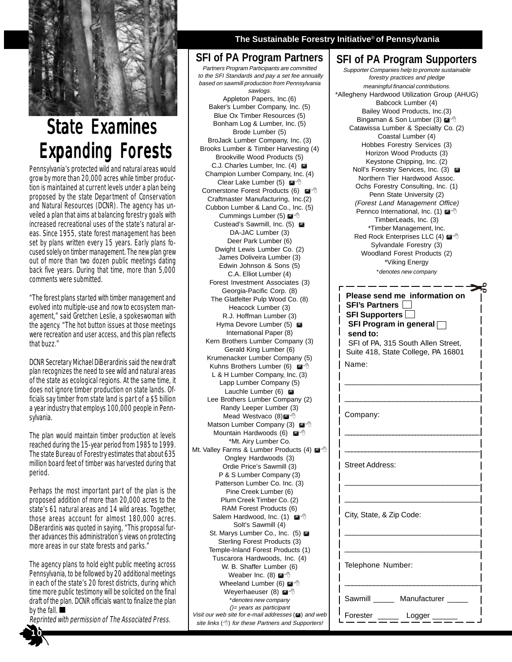

# **State Examines Expanding Forests**

Pennsylvania's protected wild and natural areas would grow by more than 20,000 acres while timber production is maintained at current levels under a plan being proposed by the state Department of Conservation and Natural Resources (DCNR). The agency has unveiled a plan that aims at balancing forestry goals with increased recreational uses of the state's natural areas. Since 1955, state forest management has been set by plans written every 15 years. Early plans focused solely on timber management. The new plan grew out of more than two dozen public meetings dating back five years. During that time, more than 5,000 comments were submitted.

"The forest plans started with timber management and evolved into multiple-use and now to ecosystem management," said Gretchen Leslie, a spokeswoman with the agency. "The hot button issues at those meetings were recreation and user access, and this plan reflects that buzz."

DCNR Secretary Michael DiBerardinis said the new draft plan recognizes the need to see wild and natural areas of the state as ecological regions. At the same time, it does not ignore timber production on state lands. Officials say timber from state land is part of a \$5 billion a year industry that employs 100,000 people in Pennsylvania.

The plan would maintain timber production at levels reached during the 15-year period from 1985 to 1999. The state Bureau of Forestry estimates that about 635 million board feet of timber was harvested during that period.

Perhaps the most important part of the plan is the proposed addition of more than 20,000 acres to the state's 61 natural areas and 14 wild areas. Together, those areas account for almost 180,000 acres. DiBerardinis was quoted in saying, "This proposal further advances this administration's views on protecting more areas in our state forests and parks."

The agency plans to hold eight public meeting across Pennsylvania, to be followed by 20 additional meetings in each of the state's 20 forest districts, during which time more public testimony will be solicited on the final draft of the plan. DCNR officials want to finalize the plan by the fall.  $\blacksquare$ 

Reprinted with permission of The Associated Press.

#### **The Sustainable Forestry Initiative**® **of Pennsylvania**

#### **SFI of PA Program Partners**

Partners Program Participants are committed to the SFI Standards and pay a set fee annually based on sawmill production from Pennsylvania sawlogs.

Appleton Papers, Inc.(6) Baker's Lumber Company, Inc. (5) Blue Ox Timber Resources (5) Bonham Log & Lumber, Inc. (5) Brode Lumber (5) BroJack Lumber Company, Inc. (3) Brooks Lumber & Timber Harvesting (4) Brookville Wood Products (5) C.J. Charles Lumber, Inc. (4)  $\blacksquare$ Champion Lumber Company, Inc. (4) Clear Lake Lumber (5) @ <sup>^</sup> Cornerstone Forest Products (6)  $\mathbb{M}^4$ <sup>®</sup> Craftmaster Manufacturing, Inc.(2) Cubbon Lumber & Land Co., Inc. (5) Cummings Lumber (5)  $\blacksquare$ <sup>-®</sup> Custead's Sawmill, Inc. (5) ! DA-JAC Lumber (3) Deer Park Lumber (6) Dwight Lewis Lumber Co. (2) James Doliveira Lumber (3) Edwin Johnson & Sons (5) C.A. Elliot Lumber (4) Forest Investment Associates (3) Georgia-Pacific Corp. (8) The Glatfelter Pulp Wood Co. (8) Heacock Lumber (3) R.J. Hoffman Lumber (3) Hyma Devore Lumber (5)  $\blacksquare$ International Paper (8) Kern Brothers Lumber Company (3) Gerald King Lumber (6) Krumenacker Lumber Company (5) Kuhns Brothers Lumber (6)  $\mathbb{M}^4$  th L & H Lumber Company, Inc. (3) Lapp Lumber Company (5) Lauchle Lumber (6)  $\blacksquare$ Lee Brothers Lumber Company (2) Randy Leeper Lumber (3) Mead Westvaco  $(8)$ <sup><sup>1</sup></sup> Matson Lumber Company (3)  $\blacksquare$ <sup>+</sup> Mountain Hardwoods (6)  $^{\circ}$  1 \*Mt. Airy Lumber Co. Mt. Valley Farms & Lumber Products (4) @ <sup>^</sup> Ongley Hardwoods (3) Ordie Price's Sawmill (3) P & S Lumber Company (3) Patterson Lumber Co. Inc. (3) Pine Creek Lumber (6) Plum Creek Timber Co. (2) RAM Forest Products (6) Salem Hardwood, Inc. (1)  $\mathbb{M}^4$ Solt's Sawmill (4) St. Marys Lumber Co., Inc. (5)  $\blacksquare$ Sterling Forest Products (3) Temple-Inland Forest Products (1) Tuscarora Hardwoods, Inc. (4) W. B. Shaffer Lumber (6) Weaber Inc. (8)  $\blacksquare$ <sup> $\oplus$ </sup> Wheeland Lumber (6)  $\mathbb{M}^{\Diamond}$ Weverhaeuser (8)  $^{\prime\prime}$ \*denotes new company ()= years as participant Visit our web site for e-mail addresses ( $\mathcal{Q}$ ) and web

site links ( $\Diamond$ ) for these Partners and Supporters!

#### **SFI of PA Program Supporters** Supporter Companies help to promote sustainable forestry practices and pledge meaningful financial contributions. \*Allegheny Hardwood Utilization Group (AHUG) Babcock Lumber (4) Bailey Wood Products, Inc.(3) Bingaman & Son Lumber (3) @ <sup>+</sup> Catawissa Lumber & Specialty Co. (2) Coastal Lumber (4) Hobbes Forestry Services (3) Horizon Wood Products (3) Keystone Chipping, Inc. (2) Noll's Forestry Services, Inc. (3)  $\blacksquare$ Northern Tier Hardwood Assoc. Ochs Forestry Consulting, Inc. (1) Penn State University (2) (Forest Land Management Office) Pennco International, Inc. (1)  $\mathbb{Z}^4$ TimberLeads, Inc. (3) \*Timber Management, Inc. Red Rock Enterprises LLC (4)  $\blacksquare$ <sup>-6</sup> Sylvandale Forestry (3) Woodland Forest Products (2) \*Viking Energy \*denotes new company

| Please send me information on<br><b>SFI's Partners  </b><br>SFI Program in general $\Box$<br>send to:<br>SFI of PA, 315 South Allen Street,<br>Suite 418, State College, PA 16801 |
|-----------------------------------------------------------------------------------------------------------------------------------------------------------------------------------|
| Name:                                                                                                                                                                             |
| Company:                                                                                                                                                                          |
| Street Address:                                                                                                                                                                   |
| City, State, & Zip Code:                                                                                                                                                          |
| Telephone Number:                                                                                                                                                                 |
| Sawmill ______ Manufacturer _____                                                                                                                                                 |
| Forester<br>Logger                                                                                                                                                                |

1 0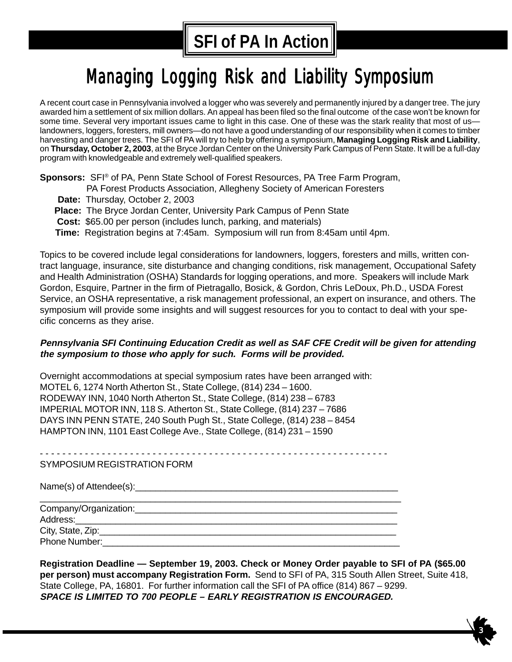# **SFI of PA In Action**

# Managing Logging Risk and Liability Symposium

A recent court case in Pennsylvania involved a logger who was severely and permanently injured by a danger tree. The jury awarded him a settlement of six million dollars. An appeal has been filed so the final outcome of the case won't be known for some time. Several very important issues came to light in this case. One of these was the stark reality that most of uslandowners, loggers, foresters, mill owners—do not have a good understanding of our responsibility when it comes to timber harvesting and danger trees. The SFI of PA will try to help by offering a symposium, **Managing Logging Risk and Liability**, on **Thursday, October 2, 2003**, at the Bryce Jordan Center on the University Park Campus of Penn State. It will be a full-day program with knowledgeable and extremely well-qualified speakers.

**Sponsors:** SFI® of PA, Penn State School of Forest Resources, PA Tree Farm Program,

- PA Forest Products Association, Allegheny Society of American Foresters
- **Date:** Thursday, October 2, 2003
- **Place:** The Bryce Jordan Center, University Park Campus of Penn State
- **Cost:** \$65.00 per person (includes lunch, parking, and materials)
- **Time:** Registration begins at 7:45am. Symposium will run from 8:45am until 4pm.

Topics to be covered include legal considerations for landowners, loggers, foresters and mills, written contract language, insurance, site disturbance and changing conditions, risk management, Occupational Safety and Health Administration (OSHA) Standards for logging operations, and more. Speakers will include Mark Gordon, Esquire, Partner in the firm of Pietragallo, Bosick, & Gordon, Chris LeDoux, Ph.D., USDA Forest Service, an OSHA representative, a risk management professional, an expert on insurance, and others. The symposium will provide some insights and will suggest resources for you to contact to deal with your specific concerns as they arise.

#### **Pennsylvania SFI Continuing Education Credit as well as SAF CFE Credit will be given for attending the symposium to those who apply for such. Forms will be provided.**

Overnight accommodations at special symposium rates have been arranged with: MOTEL 6, 1274 North Atherton St., State College, (814) 234 – 1600. RODEWAY INN, 1040 North Atherton St., State College, (814) 238 – 6783 IMPERIAL MOTOR INN, 118 S. Atherton St., State College, (814) 237 – 7686 DAYS INN PENN STATE, 240 South Pugh St., State College, (814) 238 – 8454 HAMPTON INN, 1101 East College Ave., State College, (814) 231 – 1590

- - - - - - - - - - - - - - - - - - - - - - - - - - - - - - - - - - - - - - - - - - - - - - - - - - - - - - - - - - - - - -

SYMPOSIUM REGISTRATION FORM

Name(s) of Attendee(s):

| Company/Organization: |  |  |
|-----------------------|--|--|
| Address:              |  |  |
| City, State, Zip:     |  |  |
| Phone Number:         |  |  |

**Registration Deadline — September 19, 2003. Check or Money Order payable to SFI of PA (\$65.00 per person) must accompany Registration Form.** Send to SFI of PA, 315 South Allen Street, Suite 418, State College, PA, 16801. For further information call the SFI of PA office (814) 867 – 9299. **SPACE IS LIMITED TO 700 PEOPLE – EARLY REGISTRATION IS ENCOURAGED.**

3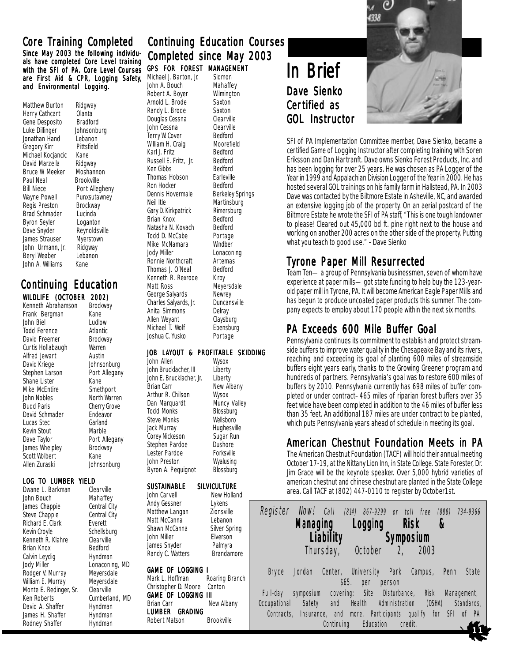#### Since May 2003 the following individuals have completed Core Level training with the SFI of PA. Core Level Courses are First Aid & CPR, Logging Safety, and Environmental Logging.

Matthew Burton Ridgway Harry Cathcart Olanta Gene Desposito Bradford<br>Luke Dillinger Johnsonburg Luke Dillinger Jonathan Hand Lebanon<br>Gregory Kirr Pittsfield Gregory Kirr Pittsf<br>Michael Kociancic Kane Michael Kociancic David Marzella Ridgway<br>Bruce W. Meeker Moshannon Bruce W. Meeker Paul Neal Brookville<br>Bill Niece Bort Aller Bill Niece Port Allegheny<br>
Wayne Powell Punxsutawney Regis Preston Brad Schmader Lucinda<br>Byron Seyler Loganton Byron Seyler<br>Dave Snyder James Strauser Myerstow<br>John Urmann, Jr. Ridgway John Urmann, Jr. Beryl Weaber Lebanon John A. Williams Kane

# Punxsutawney<br>Brockway Reynoldsville<br>Myerstown

**Brockway** 

Cherry Grove

Johnsonburg

Lonaconing, MD<br>Meyersdale

Cumberland, MD<br>Hyndman

## **WILDLIFE (OCTOBER 2002)**<br>Kenneth Abrahamson Brockway Continuing Education Continuing Education

Kenneth Abrahamson Brock<br>Frank Bergman Kane Frank Bergman Kane<br>John Biel Ludlow John Biel **Ludlow**<br>Todd Ference **Atlantic** Todd Ference<br>David Freemer Curtis Hollabaugh Warren<br>Alfred Jewart Austin Alfred Jewart David Kriegel Johnsonburg<br>Stephen Larson Port Allegany Stephen Larson Shane Lister Kane<br>
Mike McEntire Smethport Mike McEntire<br>John Nobles John Nobles<br>Budd Paris Cherry Grove David Schmader Endeavor Lucas Stec Garland Kevin Stout Dave Taylor **Port Allegany** James Whelpley Brockway Scott Wolbert Kane<br>Allen Zuraski kane

# **LOG TO LUMBER YIELD**<br>Dwane L. Barkman Clearville

Dwane L. Barkman Clearville<br>John Bouch Mahaffey John Bouch Mahaffey<br>James Chappie Central City James Chappie Central City<br>Steve Chappie Central City Steve Chappie Central<br>
Richard E. Clark Everett Richard E. Clark Kevin Croyle Schellsburg Kenneth R. Klahre Clearville<br>Brian Knox Bedford Brian Knox<br>Calvin Levdig Calvin Hyndman Calvin Leydig<br>Jody Miller Rodger V. Murray William E. Murray Meyersdale<br>Monte E. Redinger. Sr. Clearville Monte E. Redinger, Sr.<br>Ken Roberts David A. Shaffer Hyndman<br>James H. Shaffer Hyndman James H. Shaffer Rodney Shaffer Hyndman

## Core Training Completed acontinuing Education Courses Completed since May 2003 **GPS FOR FOREST MANAGEMENT**<br>Michael J. Barton, Jr. Sidmon

Michael J. Barton, Jr. Sidmon<br>John A. Bouch Mahaffey John A. Bouch Mahaffey<br>Robert A. Boyer Wilmington Robert A. Boyer Wilming<br>Arnold L. Brode Saxton Arnold L. Brode Saxton<br>Randy L. Brode Saxton Randy L. Brode Saxton<br>Douglas Cessna Clearville Douglas Cessna Clearville John Cessna Clearville Terry W. Cover Bedford<br>William H. Craig Moorefield William H. Craig Moorefield Moorefield Moorefield Muslim Muslim Muslim Muslim Muslim Muslim Muslim Muslim Musl<br>Redford Karl J. Fritz<br>
Russell E. Fritz Jr. Bedford Russell E. Fritz, Jr. Bedford<br>Ken Gibbs Bedford Ken Gibbs<br>Thomas Hobson Barleville Thomas Hobson Earleville<br>
Ron Hocker Bedford Ron Hocker<br>Dennis Hovermale Berkeley Springs Neil Itle Martinsburg<br>Gary D. Kirkpatrick Rimersburg Gary D. Kirkpatrick Rimersburg<br>Brian Knox Bedford Brian Knox<br>Natasha N. Kovach Bedford Natasha N. Kovach Todd D. McCabe Portage<br>
Mike McNamara Mindber Mike McNamara<br>Jody Miller Lonaconing<br>Artemas Ronnie Northcraft Artemas<br>Thomas L O'Neal Bedford Thomas J. O'Neal Kenneth R. Rexrode Kirby<br>Matt Ross Meye Meyersdale<br>Newrey George Salyards<br>Charles Salyards, Jr. Duncansville Charles Salyards, Jr. Anita Simmons Delray Allen Weyant Claysburg Michael T. Wolf Ebensburg<br>Joshua C. Yusko Portage Joshua C. Yusko

#### JOB LAYOUT & PROFITABLE SKIDDING

John Allen Wysox<br>John Brucklacher, III Liberty John Brucklacher, III Liberty<br>John E. Brucklacher, Jr. Liberty John E. Brucklacher, Jr.<br>Brian Carr New Albany<br>Wysox Arthur R. Chilson Dan Marquardt Muncy Valley<br>Todd Monks Blossburg Todd Monks<br>
Steve Monks<br>
Wellsboro Steve Monks<br>
Jack Murray Hughesville Jack Murray **Hughesville**<br>Corey Nickeson **Sugar Run** Corey Nickeson Sugar Runds<br>Stephen Pardoe Dushore Stephen Pardoe Dushore<br>Lester Pardoe Forksville Lester Pardoe Forksville<br>John Preston Wyalusing John Preston Wyalusing<br>Byron A. Pequignot Blossburg Byron A. Pequignot

## **SUSTAINABLE SILVICULTURE**<br>John Carvell **Mew Hollar**

New Holland Andy Gessner Lykens Matthew Langan Zionsville<br>
Matt McCanna Lebanon Silver Spring<br>Elverson James Snyder Palmyra Randy C. Watters Brandamore

## **GAME OF LOGGING I**<br>Mark L. Hoffman **B**

Matt McCanna<br>Shawn McCanna

John Miller

Roaring Branch Christopher D. Moore Canton **GAME OF LOGGING III**<br>Brian Carr Ne New Albany LUMBER GRADING Robert Matson Brookville

# In Brief Dave Sienko Certified as GOL Instructor



SFI of PA Implementation Committee member, Dave Sienko, became a certified Game of Logging Instructor after completing training with Soren Eriksson and Dan Hartranft. Dave owns Sienko Forest Products, Inc. and has been logging for over 25 years. He was chosen as PA Logger of the Year in 1999 and Appalachian Division Logger of the Year in 2000. He has hosted several GOL trainings on his family farm in Hallstead, PA. In 2003 Dave was contacted by the Biltmore Estate in Asheville, NC, and awarded an extensive logging job of the property. On an aerial postcard of the Biltmore Estate he wrote the SFI of PA staff, "This is one tough landowner to please! Cleared out 45,000 bd ft. pine right next to the house and working on another 200 acres on the other side of the property. Putting what you teach to good use." –Dave Sienko

## Tyrone Paper Mill Resurrected

Team Ten—a group of Pennsylvania businessmen, seven of whom have experience at paper mills—got state funding to help buy the 123-yearold paper mill in Tyrone, PA. It will become American Eagle Paper Mills and has begun to produce uncoated paper products this summer. The company expects to employ about 170 people within the next six months.

## PA Exceeds 600 Mile Buffer Goal

Pennsylvania continues its commitment to establish and protect streamside buffers to improve water quality in the Chesapeake Bay and its rivers, reaching and exceeding its goal of planting 600 miles of streamside buffers eight years early, thanks to the Growing Greener program and hundreds of partners. Pennsylvania's goal was to restore 600 miles of buffers by 2010. Pennsylvania currently has 698 miles of buffer completed or under contract–465 miles of riparian forest buffers over 35 feet wide have been completed in addition to the 46 miles of buffer less than 35 feet. An additional 187 miles are under contract to be planted, which puts Pennsylvania years ahead of schedule in meeting its goal.

## American Chestnut Foundation Meets in PA

The American Chestnut Foundation (TACF) will hold their annual meeting October 17-19, at the Nittany Lion Inn, in State College. State Forester, Dr. Jim Grace will be the keynote speaker. Over 5,000 hybrid varieties of american chestnut and chinese chestnut are planted in the State College area. Call TACF at (802) 447-0110 to register by October1st.

| Register Now! Call (814) 867-9299 or toll free (888)<br>734-9366                              |  |  |  |  |
|-----------------------------------------------------------------------------------------------|--|--|--|--|
| <b>Managing</b><br>Logging<br>Risk<br>8                                                       |  |  |  |  |
| <b>Liability</b><br><b>Symposium</b>                                                          |  |  |  |  |
| Thursday,<br>October<br>2, 2003                                                               |  |  |  |  |
| Center, University Park Campus,<br>Penn<br>State<br>Jordan<br>Bryce<br>\$65.<br>per<br>person |  |  |  |  |
| covering: Site Disturbance, Risk<br>Management,<br>Full-day<br>symposium                      |  |  |  |  |
| and Health<br>Administration<br>(0SHA)<br>Safety<br>Occupational<br>Standards,                |  |  |  |  |
| Contracts, Insurance, and more. Participants qualify for SFI of PA                            |  |  |  |  |
| Education<br>Continuing<br>credit.                                                            |  |  |  |  |